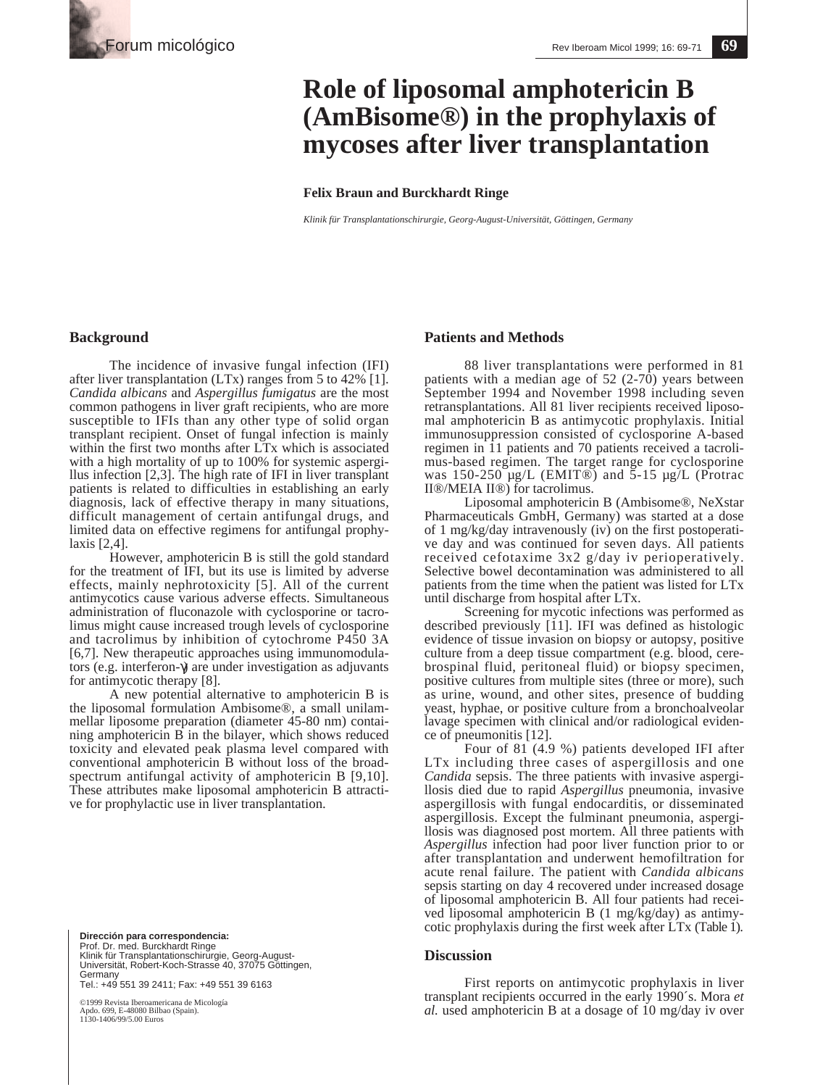# **Role of liposomal amphotericin B (AmBisome®) in the prophylaxis of mycoses after liver transplantation**

#### **Felix Braun and Burckhardt Ringe**

*Klinik für Transplantationschirurgie, Georg-August-Universität, Göttingen, Germany*

## **Background**

The incidence of invasive fungal infection (IFI) after liver transplantation (LTx) ranges from 5 to 42% [1]. *Candida albicans* and *Aspergillus fumigatus* are the most common pathogens in liver graft recipients, who are more susceptible to IFIs than any other type of solid organ transplant recipient. Onset of fungal infection is mainly within the first two months after LTx which is associated with a high mortality of up to 100% for systemic aspergillus infection [2,3]. The high rate of IFI in liver transplant patients is related to difficulties in establishing an early diagnosis, lack of effective therapy in many situations, difficult management of certain antifungal drugs, and limited data on effective regimens for antifungal prophylaxis [2,4].

However, amphotericin B is still the gold standard for the treatment of IFI, but its use is limited by adverse effects, mainly nephrotoxicity [5]. All of the current antimycotics cause various adverse effects. Simultaneous administration of fluconazole with cyclosporine or tacrolimus might cause increased trough levels of cyclosporine and tacrolimus by inhibition of cytochrome P450 3A [6,7]. New therapeutic approaches using immunomodulators (e.g. interferon-γ) are under investigation as adjuvants for antimycotic therapy [8].

A new potential alternative to amphotericin B is the liposomal formulation Ambisome®, a small unilammellar liposome preparation (diameter 45-80 nm) containing amphotericin  $\vec{B}$  in the bilayer, which shows reduced toxicity and elevated peak plasma level compared with conventional amphotericin B without loss of the broadspectrum antifungal activity of amphotericin B [9,10]. These attributes make liposomal amphotericin B attractive for prophylactic use in liver transplantation.

**Dirección para correspondencia:**  Prof. Dr. med. Burckhardt Ringe Klinik für Transplantationschirurgie, Georg-August-Universität, Robert-Koch-Strasse 40, 37075 Göttingen, Germany Tel.: +49 551 39 2411; Fax: +49 551 39 6163

©1999 Revista Iberoamericana de Micología Apdo. 699, E-48080 Bilbao (Spain). 1130-1406/99/5.00 Euros

### **Patients and Methods**

88 liver transplantations were performed in 81 patients with a median age of 52 (2-70) years between September 1994 and November 1998 including seven retransplantations. All 81 liver recipients received liposomal amphotericin B as antimycotic prophylaxis. Initial immunosuppression consisted of cyclosporine A-based regimen in 11 patients and 70 patients received a tacrolimus-based regimen. The target range for cyclosporine was  $150-250 \mu g/L$  (EMIT®) and  $5-15 \mu g/L$  (Protrac II®/MEIA II®) for tacrolimus.

Liposomal amphotericin B (Ambisome®, NeXstar Pharmaceuticals GmbH, Germany) was started at a dose of 1 mg/kg/day intravenously (iv) on the first postoperative day and was continued for seven days. All patients received cefotaxime 3x2 g/day iv perioperatively. Selective bowel decontamination was administered to all patients from the time when the patient was listed for LTx until discharge from hospital after LTx.

Screening for mycotic infections was performed as described previously [11]. IFI was defined as histologic evidence of tissue invasion on biopsy or autopsy, positive culture from a deep tissue compartment (e.g. blood, cerebrospinal fluid, peritoneal fluid) or biopsy specimen, positive cultures from multiple sites (three or more), such as urine, wound, and other sites, presence of budding yeast, hyphae, or positive culture from a bronchoalveolar lavage specimen with clinical and/or radiological evidence of pneumonitis [12].

Four of 81 (4.9 %) patients developed IFI after LTx including three cases of aspergillosis and one *Candida* sepsis. The three patients with invasive aspergillosis died due to rapid *Aspergillus* pneumonia, invasive aspergillosis with fungal endocarditis, or disseminated aspergillosis. Except the fulminant pneumonia, aspergillosis was diagnosed post mortem. All three patients with *Aspergillus* infection had poor liver function prior to or after transplantation and underwent hemofiltration for acute renal failure. The patient with *Candida albicans* sepsis starting on day 4 recovered under increased dosage of liposomal amphotericin B. All four patients had received liposomal amphotericin B (1 mg/kg/day) as antimycotic prophylaxis during the first week after LTx (Table 1).

#### **Discussion**

First reports on antimycotic prophylaxis in liver transplant recipients occurred in the early 1990´s. Mora *et al.* used amphotericin B at a dosage of 10 mg/day iv over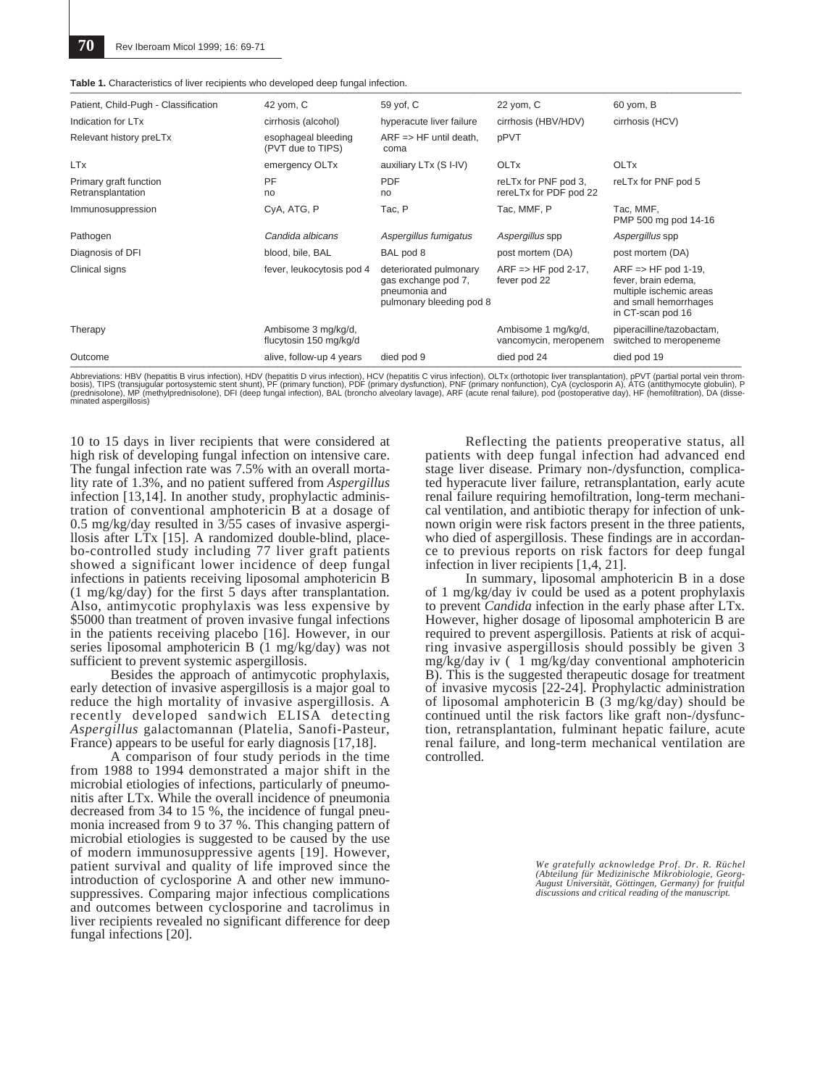| Table 1. Characteristics of liver recipients who developed deep fungal infection. |  |
|-----------------------------------------------------------------------------------|--|
|                                                                                   |  |

| Patient, Child-Pugh - Classification        | 42 yom, C                                     | 59 yof, C                                                                                  | 22 yom, C                                               | 60 yom, B                                                                                                                      |
|---------------------------------------------|-----------------------------------------------|--------------------------------------------------------------------------------------------|---------------------------------------------------------|--------------------------------------------------------------------------------------------------------------------------------|
| Indication for LT <sub>x</sub>              | cirrhosis (alcohol)                           | hyperacute liver failure                                                                   | cirrhosis (HBV/HDV)                                     | cirrhosis (HCV)                                                                                                                |
| Relevant history preLTx                     | esophageal bleeding<br>(PVT due to TIPS)      | $ARF \Rightarrow HF$ until death,<br>coma                                                  | pPVT                                                    |                                                                                                                                |
| <b>LTx</b>                                  | emergency OLTx                                | auxiliary LTx (S I-IV)                                                                     | <b>OLTx</b>                                             | <b>OLTx</b>                                                                                                                    |
| Primary graft function<br>Retransplantation | PF<br>no                                      | <b>PDF</b><br>no                                                                           | reLTx for PNF pod 3,<br>rereLTx for PDF pod 22          | reLTx for PNF pod 5                                                                                                            |
| Immunosuppression                           | CyA, ATG, P                                   | Tac, P                                                                                     | Tac, MMF, P                                             | Tac. MMF.<br>PMP 500 mg pod 14-16                                                                                              |
| Pathogen                                    | Candida albicans                              | Aspergillus fumigatus                                                                      | Aspergillus spp                                         | Aspergillus spp                                                                                                                |
| Diagnosis of DFI                            | blood, bile, BAL                              | BAL pod 8                                                                                  | post mortem (DA)                                        | post mortem (DA)                                                                                                               |
| Clinical signs                              | fever, leukocytosis pod 4                     | deteriorated pulmonary<br>gas exchange pod 7.<br>pneumonia and<br>pulmonary bleeding pod 8 | $ARF \Rightarrow HF \text{pod } 2-17$ ,<br>fever pod 22 | $ARF \Rightarrow HF$ pod 1-19.<br>fever, brain edema,<br>multiple ischemic areas<br>and small hemorrhages<br>in CT-scan pod 16 |
| Therapy                                     | Ambisome 3 mg/kg/d,<br>flucytosin 150 mg/kg/d |                                                                                            | Ambisome 1 mg/kg/d,<br>vancomycin, meropenem            | piperacilline/tazobactam,<br>switched to meropeneme                                                                            |
| Outcome                                     | alive, follow-up 4 years                      | died pod 9                                                                                 | died pod 24                                             | died pod 19                                                                                                                    |

Abbreviations: HBV (hepatitis B virus infection), HDV (hepatitis D virus infection), HCV (hepatitis C virus infection), OLTx (orthotopic liver transplantation), pPVT (partial portal vein throm-<br>bosis), TIPS (transjugular p

10 to 15 days in liver recipients that were considered at high risk of developing fungal infection on intensive care. The fungal infection rate was 7.5% with an overall mortality rate of 1.3%, and no patient suffered from *Aspergillus* infection [13,14]. In another study, prophylactic administration of conventional amphotericin B at a dosage of 0.5 mg/kg/day resulted in 3/55 cases of invasive aspergillosis after LTx [15]. A randomized double-blind, placebo-controlled study including 77 liver graft patients showed a significant lower incidence of deep fungal infections in patients receiving liposomal amphotericin B (1 mg/kg/day) for the first 5 days after transplantation. Also, antimycotic prophylaxis was less expensive by \$5000 than treatment of proven invasive fungal infections in the patients receiving placebo [16]. However, in our series liposomal amphotericin B (1 mg/kg/day) was not sufficient to prevent systemic aspergillosis.

Besides the approach of antimycotic prophylaxis, early detection of invasive aspergillosis is a major goal to reduce the high mortality of invasive aspergillosis. A recently developed sandwich ELISA detecting *Aspergillus* galactomannan (Platelia, Sanofi-Pasteur, France) appears to be useful for early diagnosis [17,18].

A comparison of four study periods in the time from 1988 to 1994 demonstrated a major shift in the microbial etiologies of infections, particularly of pneumonitis after LTx. While the overall incidence of pneumonia decreased from 34 to 15 %, the incidence of fungal pneumonia increased from 9 to 37 %. This changing pattern of microbial etiologies is suggested to be caused by the use of modern immunosuppressive agents [19]. However, patient survival and quality of life improved since the introduction of cyclosporine A and other new immunosuppressives. Comparing major infectious complications and outcomes between cyclosporine and tacrolimus in liver recipients revealed no significant difference for deep fungal infections [20].

Reflecting the patients preoperative status, all patients with deep fungal infection had advanced end stage liver disease. Primary non-/dysfunction, complicated hyperacute liver failure, retransplantation, early acute renal failure requiring hemofiltration, long-term mechanical ventilation, and antibiotic therapy for infection of unknown origin were risk factors present in the three patients, who died of aspergillosis. These findings are in accordance to previous reports on risk factors for deep fungal infection in liver recipients [1,4, 21].

In summary, liposomal amphotericin B in a dose of 1 mg/kg/day iv could be used as a potent prophylaxis to prevent *Candida* infection in the early phase after LTx. However, higher dosage of liposomal amphotericin B are required to prevent aspergillosis. Patients at risk of acquiring invasive aspergillosis should possibly be given 3 mg/kg/day iv ( 1 mg/kg/day conventional amphotericin B). This is the suggested therapeutic dosage for treatment of invasive mycosis [22-24]. Prophylactic administration of liposomal amphotericin B  $(3 \text{ mg/kg/day})$  should be continued until the risk factors like graft non-/dysfunction, retransplantation, fulminant hepatic failure, acute renal failure, and long-term mechanical ventilation are controlled.

> *We gratefully acknowledge Prof. Dr. R. Rüchel (Abteilung für Medizinische Mikrobiologie, Georg-August Universität, Göttingen, Germany) for fruitful discussions and critical reading of the manuscript.*